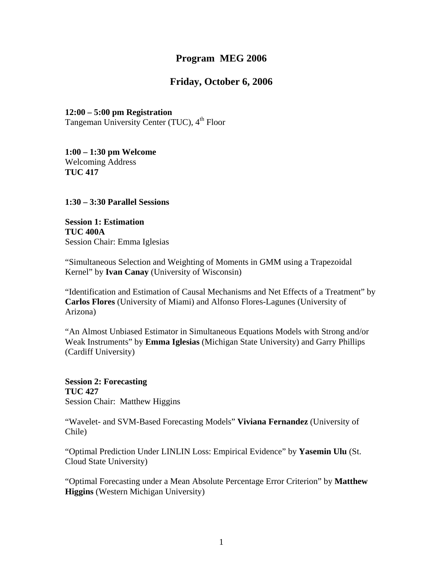## **Program MEG 2006**

## **Friday, October 6, 2006**

# **12:00 – 5:00 pm Registration**

Tangeman University Center (TUC), 4<sup>th</sup> Floor

**1:00 – 1:30 pm Welcome**  Welcoming Address **TUC 417** 

**1:30 – 3:30 Parallel Sessions** 

**Session 1: Estimation TUC 400A**  Session Chair: Emma Iglesias

"Simultaneous Selection and Weighting of Moments in GMM using a Trapezoidal Kernel" by **Ivan Canay** (University of Wisconsin)

"Identification and Estimation of Causal Mechanisms and Net Effects of a Treatment" by **Carlos Flores** (University of Miami) and Alfonso Flores-Lagunes (University of Arizona)

"An Almost Unbiased Estimator in Simultaneous Equations Models with Strong and/or Weak Instruments" by **Emma Iglesias** (Michigan State University) and Garry Phillips (Cardiff University)

**Session 2: Forecasting TUC 427**  Session Chair: Matthew Higgins

"Wavelet- and SVM-Based Forecasting Models" **Viviana Fernandez** (University of Chile)

"Optimal Prediction Under LINLIN Loss: Empirical Evidence" by **Yasemin Ulu** (St. Cloud State University)

"Optimal Forecasting under a Mean Absolute Percentage Error Criterion" by **Matthew Higgins** (Western Michigan University)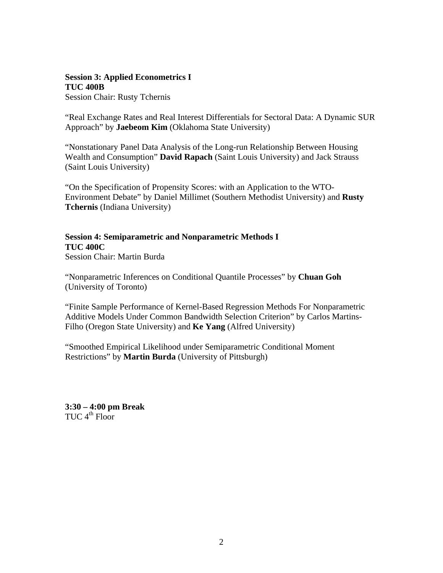## **Session 3: Applied Econometrics I TUC 400B**

Session Chair: Rusty Tchernis

"Real Exchange Rates and Real Interest Differentials for Sectoral Data: A Dynamic SUR Approach" by **Jaebeom Kim** (Oklahoma State University)

"Nonstationary Panel Data Analysis of the Long-run Relationship Between Housing Wealth and Consumption" **David Rapach** (Saint Louis University) and Jack Strauss (Saint Louis University)

"On the Specification of Propensity Scores: with an Application to the WTO-Environment Debate" by Daniel Millimet (Southern Methodist University) and **Rusty Tchernis** (Indiana University)

**Session 4: Semiparametric and Nonparametric Methods I TUC 400C**  Session Chair: Martin Burda

"Nonparametric Inferences on Conditional Quantile Processes" by **Chuan Goh** (University of Toronto)

"Finite Sample Performance of Kernel-Based Regression Methods For Nonparametric Additive Models Under Common Bandwidth Selection Criterion" by Carlos Martins-Filho (Oregon State University) and **Ke Yang** (Alfred University)

"Smoothed Empirical Likelihood under Semiparametric Conditional Moment Restrictions" by **Martin Burda** (University of Pittsburgh)

**3:30 – 4:00 pm Break**  TUC  $4^{\text{th}}$  Floor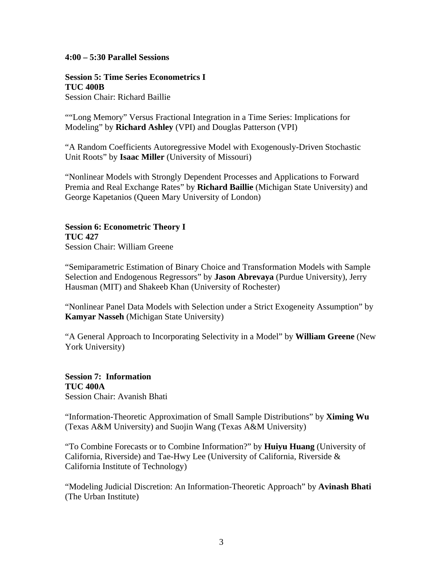### **4:00 – 5:30 Parallel Sessions**

### **Session 5: Time Series Econometrics I TUC 400B**

Session Chair: Richard Baillie

""Long Memory" Versus Fractional Integration in a Time Series: Implications for Modeling" by **Richard Ashley** (VPI) and Douglas Patterson (VPI)

"A Random Coefficients Autoregressive Model with Exogenously-Driven Stochastic Unit Roots" by **Isaac Miller** (University of Missouri)

"Nonlinear Models with Strongly Dependent Processes and Applications to Forward Premia and Real Exchange Rates" by **Richard Baillie** (Michigan State University) and George Kapetanios (Queen Mary University of London)

# **Session 6: Econometric Theory I TUC 427**

Session Chair: William Greene

"Semiparametric Estimation of Binary Choice and Transformation Models with Sample Selection and Endogenous Regressors" by **Jason Abrevaya** (Purdue University), Jerry Hausman (MIT) and Shakeeb Khan (University of Rochester)

"Nonlinear Panel Data Models with Selection under a Strict Exogeneity Assumption" by **Kamyar Nasseh** (Michigan State University)

"A General Approach to Incorporating Selectivity in a Model" by **William Greene** (New York University)

**Session 7: Information TUC 400A**  Session Chair: Avanish Bhati

"Information-Theoretic Approximation of Small Sample Distributions" by **Ximing Wu** (Texas A&M University) and Suojin Wang (Texas A&M University)

"To Combine Forecasts or to Combine Information?" by **Huiyu Huang** (University of California, Riverside) and Tae-Hwy Lee (University of California, Riverside & California Institute of Technology)

"Modeling Judicial Discretion: An Information-Theoretic Approach" by **Avinash Bhati**  (The Urban Institute)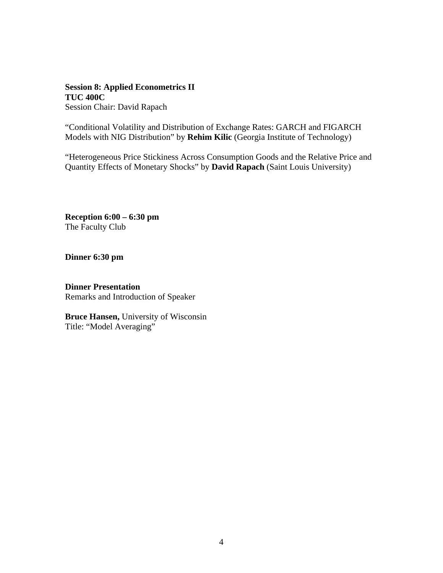### **Session 8: Applied Econometrics II TUC 400C**  Session Chair: David Rapach

"Conditional Volatility and Distribution of Exchange Rates: GARCH and FIGARCH Models with NIG Distribution" by **Rehim Kilic** (Georgia Institute of Technology)

"Heterogeneous Price Stickiness Across Consumption Goods and the Relative Price and Quantity Effects of Monetary Shocks" by **David Rapach** (Saint Louis University)

**Reception 6:00 – 6:30 pm**  The Faculty Club

**Dinner 6:30 pm** 

**Dinner Presentation**  Remarks and Introduction of Speaker

**Bruce Hansen,** University of Wisconsin Title: "Model Averaging"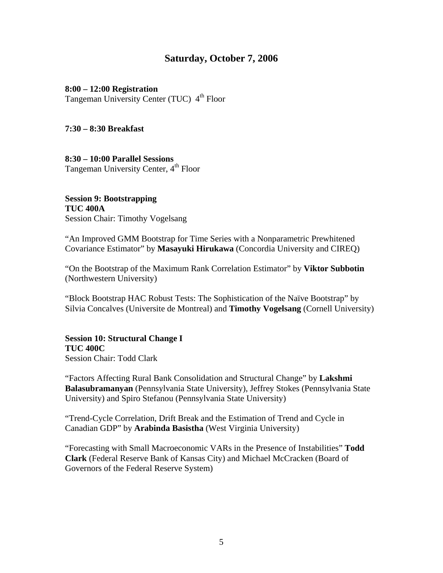### **Saturday, October 7, 2006**

#### **8:00 – 12:00 Registration**

Tangeman University Center (TUC) 4<sup>th</sup> Floor

### **7:30 – 8:30 Breakfast**

**8:30 – 10:00 Parallel Sessions**  Tangeman University Center, 4<sup>th</sup> Floor

**Session 9: Bootstrapping TUC 400A**  Session Chair: Timothy Vogelsang

"An Improved GMM Bootstrap for Time Series with a Nonparametric Prewhitened Covariance Estimator" by **Masayuki Hirukawa** (Concordia University and CIREQ)

"On the Bootstrap of the Maximum Rank Correlation Estimator" by **Viktor Subbotin** (Northwestern University)

"Block Bootstrap HAC Robust Tests: The Sophistication of the Naïve Bootstrap" by Silvia Concalves (Universite de Montreal) and **Timothy Vogelsang** (Cornell University)

**Session 10: Structural Change I TUC 400C**  Session Chair: Todd Clark

"Factors Affecting Rural Bank Consolidation and Structural Change" by **Lakshmi Balasubramanyan** (Pennsylvania State University), Jeffrey Stokes (Pennsylvania State University) and Spiro Stefanou (Pennsylvania State University)

"Trend-Cycle Correlation, Drift Break and the Estimation of Trend and Cycle in Canadian GDP" by **Arabinda Basistha** (West Virginia University)

"Forecasting with Small Macroeconomic VARs in the Presence of Instabilities" **Todd Clark** (Federal Reserve Bank of Kansas City) and Michael McCracken (Board of Governors of the Federal Reserve System)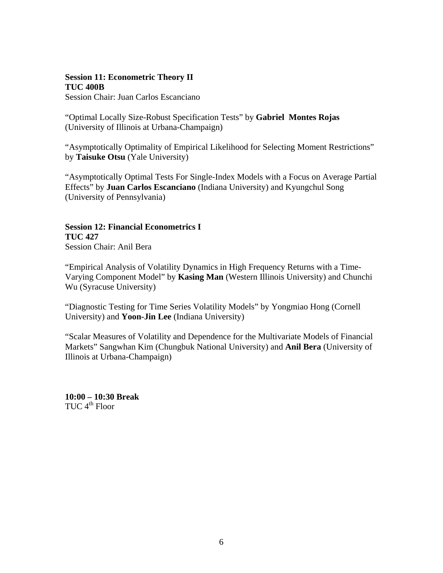### **Session 11: Econometric Theory II TUC 400B**

Session Chair: Juan Carlos Escanciano

"Optimal Locally Size-Robust Specification Tests" by **Gabriel Montes Rojas** (University of Illinois at Urbana-Champaign)

"Asymptotically Optimality of Empirical Likelihood for Selecting Moment Restrictions" by **Taisuke Otsu** (Yale University)

"Asymptotically Optimal Tests For Single-Index Models with a Focus on Average Partial Effects" by **Juan Carlos Escanciano** (Indiana University) and Kyungchul Song (University of Pennsylvania)

**Session 12: Financial Econometrics I TUC 427**  Session Chair: Anil Bera

"Empirical Analysis of Volatility Dynamics in High Frequency Returns with a Time-Varying Component Model" by **Kasing Man** (Western Illinois University) and Chunchi Wu (Syracuse University)

"Diagnostic Testing for Time Series Volatility Models" by Yongmiao Hong (Cornell University) and **Yoon-Jin Lee** (Indiana University)

"Scalar Measures of Volatility and Dependence for the Multivariate Models of Financial Markets" Sangwhan Kim (Chungbuk National University) and **Anil Bera** (University of Illinois at Urbana-Champaign)

**10:00 – 10:30 Break**  TUC  $4^{\text{th}}$  Floor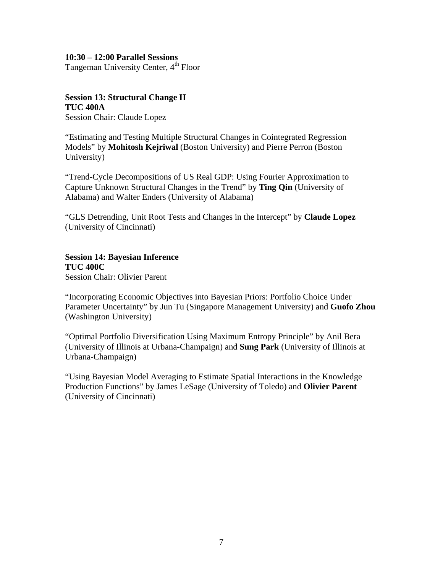#### **10:30 – 12:00 Parallel Sessions**

Tangeman University Center, 4<sup>th</sup> Floor

#### **Session 13: Structural Change II TUC 400A**  Session Chair: Claude Lopez

"Estimating and Testing Multiple Structural Changes in Cointegrated Regression Models" by **Mohitosh Kejriwal** (Boston University) and Pierre Perron (Boston University)

"Trend-Cycle Decompositions of US Real GDP: Using Fourier Approximation to Capture Unknown Structural Changes in the Trend" by **Ting Qin** (University of Alabama) and Walter Enders (University of Alabama)

"GLS Detrending, Unit Root Tests and Changes in the Intercept" by **Claude Lopez**  (University of Cincinnati)

# **Session 14: Bayesian Inference TUC 400C**

Session Chair: Olivier Parent

"Incorporating Economic Objectives into Bayesian Priors: Portfolio Choice Under Parameter Uncertainty" by Jun Tu (Singapore Management University) and **Guofo Zhou**  (Washington University)

"Optimal Portfolio Diversification Using Maximum Entropy Principle" by Anil Bera (University of Illinois at Urbana-Champaign) and **Sung Park** (University of Illinois at Urbana-Champaign)

"Using Bayesian Model Averaging to Estimate Spatial Interactions in the Knowledge Production Functions" by James LeSage (University of Toledo) and **Olivier Parent** (University of Cincinnati)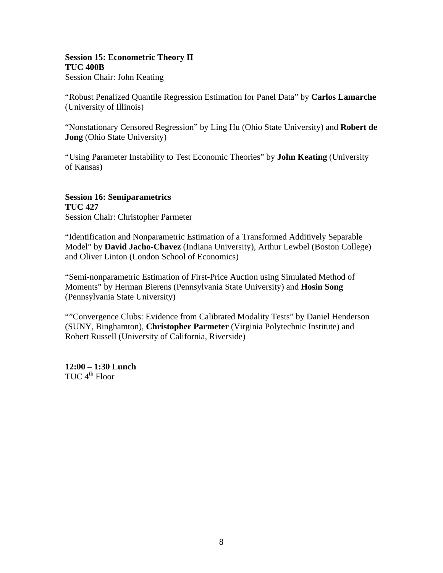### **Session 15: Econometric Theory II TUC 400B**

Session Chair: John Keating

"Robust Penalized Quantile Regression Estimation for Panel Data" by **Carlos Lamarche** (University of Illinois)

"Nonstationary Censored Regression" by Ling Hu (Ohio State University) and **Robert de Jong** (Ohio State University)

"Using Parameter Instability to Test Economic Theories" by **John Keating** (University of Kansas)

**Session 16: Semiparametrics TUC 427**  Session Chair: Christopher Parmeter

"Identification and Nonparametric Estimation of a Transformed Additively Separable Model" by **David Jacho-Chavez** (Indiana University), Arthur Lewbel (Boston College) and Oliver Linton (London School of Economics)

"Semi-nonparametric Estimation of First-Price Auction using Simulated Method of Moments" by Herman Bierens (Pennsylvania State University) and **Hosin Song** (Pennsylvania State University)

""Convergence Clubs: Evidence from Calibrated Modality Tests" by Daniel Henderson (SUNY, Binghamton), **Christopher Parmeter** (Virginia Polytechnic Institute) and Robert Russell (University of California, Riverside)

**12:00 – 1:30 Lunch**  TUC  $4^{\text{th}}$  Floor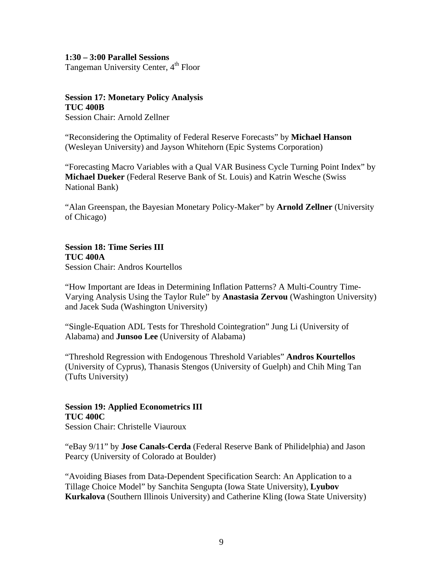### **1:30 – 3:00 Parallel Sessions**  Tangeman University Center, 4<sup>th</sup> Floor

## **Session 17: Monetary Policy Analysis TUC 400B**

Session Chair: Arnold Zellner

"Reconsidering the Optimality of Federal Reserve Forecasts" by **Michael Hanson**  (Wesleyan University) and Jayson Whitehorn (Epic Systems Corporation)

"Forecasting Macro Variables with a Qual VAR Business Cycle Turning Point Index" by **Michael Dueker** (Federal Reserve Bank of St. Louis) and Katrin Wesche (Swiss National Bank)

"Alan Greenspan, the Bayesian Monetary Policy-Maker" by **Arnold Zellner** (University of Chicago)

### **Session 18: Time Series III TUC 400A**

Session Chair: Andros Kourtellos

"How Important are Ideas in Determining Inflation Patterns? A Multi-Country Time-Varying Analysis Using the Taylor Rule" by **Anastasia Zervou** (Washington University) and Jacek Suda (Washington University)

"Single-Equation ADL Tests for Threshold Cointegration" Jung Li (University of Alabama) and **Junsoo Lee** (University of Alabama)

"Threshold Regression with Endogenous Threshold Variables" **Andros Kourtellos**  (University of Cyprus), Thanasis Stengos (University of Guelph) and Chih Ming Tan (Tufts University)

**Session 19: Applied Econometrics III TUC 400C**  Session Chair: Christelle Viauroux

"eBay 9/11" by **Jose Canals-Cerda** (Federal Reserve Bank of Philidelphia) and Jason Pearcy (University of Colorado at Boulder)

"Avoiding Biases from Data-Dependent Specification Search: An Application to a Tillage Choice Model" by Sanchita Sengupta (Iowa State University), **Lyubov Kurkalova** (Southern Illinois University) and Catherine Kling (Iowa State University)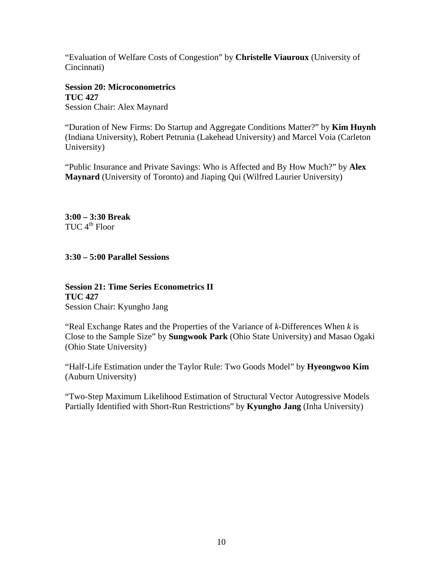"Evaluation of Welfare Costs of Congestion" by **Christelle Viauroux** (University of Cincinnati)

### **Session 20: Microconometrics TUC 427**  Session Chair: Alex Maynard

"Duration of New Firms: Do Startup and Aggregate Conditions Matter?" by **Kim Huynh** (Indiana University), Robert Petrunia (Lakehead University) and Marcel Voia (Carleton University)

"Public Insurance and Private Savings: Who is Affected and By How Much?" by **Alex Maynard** (University of Toronto) and Jiaping Qui (Wilfred Laurier University)

**3:00 – 3:30 Break**  TUC  $4^{\text{th}}$  Floor

**3:30 – 5:00 Parallel Sessions** 

**Session 21: Time Series Econometrics II TUC 427**  Session Chair: Kyungho Jang

"Real Exchange Rates and the Properties of the Variance of *k*-Differences When *k* is Close to the Sample Size" by **Sungwook Park** (Ohio State University) and Masao Ogaki (Ohio State University)

"Half-Life Estimation under the Taylor Rule: Two Goods Model" by **Hyeongwoo Kim** (Auburn University)

"Two-Step Maximum Likelihood Estimation of Structural Vector Autogressive Models Partially Identified with Short-Run Restrictions" by **Kyungho Jang** (Inha University)